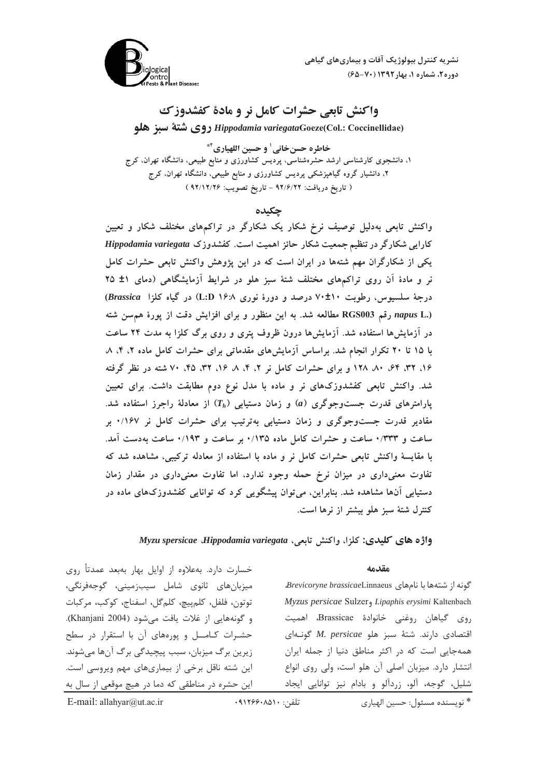

نشریه کنترل بیولوژیک آفات و بیماریهای گیاهی دوره ٢، شماره ١، بهار ١٣٩٢ (٧٠-۶۵)

# واکنش تابعی حشرات کامل نر و مادهٔ کفشدوزک

Hippodamia variegataGoeze(Col.: Coccinellidae) روى شتة سبز هلو

خاطره حسنخاني' و حسين اللهياري<sup>4\*</sup> ۱، دانشجوی کارشناسی ارشد حشرهشناسی، پردیس کشاورزی و منابع طبیعی، دانشگاه تهران، کرج ۲، دانشیار گروه گیاهپزشکی پردیس کشاورزی و منابع طبیعی، دانشگاه تهران، کرج ( تاريخ دريافت: ٩٢/٦/٢٢ - تاريخ تصويب: ٩٢/١٢/٢۶ )

### چکیده

واکنش تابعی بهدلیل توصیف نرخ شکار یک شکارگر در تراکمهای مختلف شکار و تعیین کارایی شکارگر در تنظیم جمعیت شکار حائز اهمیت است. کفشدوزک Hippodamia variegata یکی از شکارگران مهم شتهها در ایران است که در این پژوهش واکنش تابعی حشرات کامل نر و مادهٔ آن روی تراکمهای مختلف شتهٔ سبز هلو در شرایط آزمایشگاهی (دمای ۱± ۲۵ درجهٔ سلسیوس، رطوبت ۷۰±۷۰ درصد و دورهٔ نوری ۱۶:۸ L:D) در گیاه کلزا Brassica) napus L.) رقم RGS003 مطالعه شد. به این منظور و برای افزایش دقت از پورهٔ هم سن شته در آزمایشها استفاده شد. آزمایشها درون ظروف پتری و روی برگ کلزا به مدت ۲۴ ساعت با ۱۵ تا ۲۰ تکرار انجام شد. براساس آزمایش های مقدماتی برای حشرات کامل ماده ۲، ۴، ۸ ۱۶، ۳۲، ۶۴، ۸۰، ۱۲۸ و برای حشرات کامل نر ۲، ۴، ۸، ۴، ۲۲، ۴۵، ۷۰ شته در نظر گرفته شد. واکنش تابعی کفشدوزکهای نر و ماده با مدل نوع دوم مطابقت داشت. برای تعیین پارامترهای قدرت جستوجوگری (a) و زمان دستیابی  $(T_h)$  از معادلهٔ راجرز استفاده شد. مقادیر قدرت جستوجوگری و زمان دستیابی بهترتیب برای حشرات کامل نر ۱۶۷۰ بر ساعت و ۰/۳۳۳ ساعت و حشرات کامل ماده ۱۳۵/۰ بر ساعت و ۰/۱۹۳ ساعت بهدست آمد. با مقایسهٔ واکنش تابعی حشرات کامل نر و ماده با استفاده از معادله ترکیبی، مشاهده شد که تفاوت معنیداری در میزان نرخ حمله وجود ندارد، اما تفاوت معنیداری در مقدار زمان دستیابی آنها مشاهده شد. بنابراین، می توان پیشگویی کرد که توانایی کفشدوزکهای ماده در كنترل شتهٔ سبز هلو بیشتر از نرها است.

واژه های کلیدی: کلزا، واکنش تابعی، Myzu spersicae Hippodamia variegata

#### مقدمه

Brevicoryne brassicaeLinnaeus رشتهها با نامهای Brevicoryne brassicaeLinnaeus Myzus persicae Sulzer, Lipaphis erysimi Kaltenbach روی گیاهان روغنی خانوادهٔ Brassicae، اهمیت اقتصادى دارند. شتهٔ سبز هلو M. persicae كونهاى همهجایی است که در اکثر مناطق دنیا از جمله ایران انتشار دارد. میزبان اصلی آن هلو است، ولی روی انواع شلیل، گوجه، آلو، زردآلو و بادام نیز توانایی ایجاد

خسارت دارد. بهعلاوه از اوایل بهار بهبعد عمدتأ روی میزبانهای ثانوی شامل سیبزمینی، گوجهفرنگی، توتون، فلفل، كلمپيچ، كلمگل، اسفناج، كوكب، مركبات و گونههایی از غلات یافت می شود (Khanjani 2004). حشـرات كـامــل و پورههاى آن با استقرار در سطح زیرین برگ میزبان، سبب پیچیدگی برگ آنها می شوند. این شته ناقل برخی از بیماریهای مهم ویروسی است. این حشره در مناطقی که دما در هیچ موقعی از سال به

\* نويسنده مسئول: حسين الهياري

تلفن: ٠٩١٢۶۶٠٨٥١٠

E-mail: allahyar@ut.ac.ir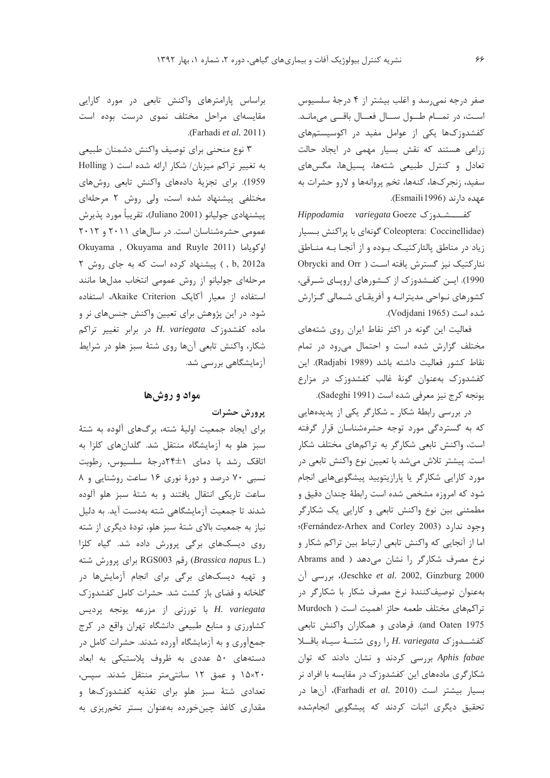صفر درجه نمی رسد و اغلب بیشتر از ۴ درجهٔ سلسیوس است، در تمـام طـول سـال فعـال باقــى مىمانـد. کفشدوزکها یکی از عوامل مفید در اکوسیستمهای زراعی هستند که نقش بسیار مهمی در ایجاد حالت تعادل و کنترل طبیعی شتهها، پسیلها، مگسهای سفید، زنجر کها، کنهها، تخم پروانهها و لارو حشرات به عهده دارند (Esmaili1996).

Hippodamia variegata Goeze 25 Coleoptera: Coccinellidae) گونهای با پراکنش بسیار زیاد در مناطق پالئارکتیک بوده و از آنجـا بـه منـاطق نئار کتیک نیز گسترش یافته است ( Obrycki and Orr 1990). این کفشدوزک از کشورهای اروپای شرقی، کشورهای نـواحی مدیترانـه و آفریقـای شـمالی گـزارش شده است (Vodjdani 1965).

فعالیت این گونه در اکثر نقاط ایران روی شتههای مختلف گزارش شده است و احتمال می رود در تمام نقاط كشور فعاليت داشته باشد (Radjabi 1989). اين کفشدوزک بهعنوان گونهٔ غالب کفشدوزک در مزارع يونجه كرج نيز معرفي شده است (Sadeghi 1991).

در بررسی رابطهٔ شکار ـ شکارگر یکی از پدیدههایی که به گستردگی مورد توجه حشرهشناسان قرار گرفته است، واکنش تابعی شکارگر به تراکمهای مختلف شکار است. پیشتر تلاش میشد با تعیین نوع واکنش تابعی در مورد کارایی شکارگر یا پارازیتویید پیشگوییهایی انجام شود که امروزه مشخص شده است رابطهٔ چندان دقیق و مطمئنی بین نوع واکنش تابعی و کارایی یک شکارگر وجود ندارد (Fernández-Arhex and Corley 2003)؛ اما از آنجایی که واکنش تابعی ارتباط بین تراکم شکار و نرخ مصرف شکارگر را نشان میدهد ( Abrams and Jeschke et al. 2002, Ginzburg 2000)، بررسی آن بهعنوان توصیفکنندهٔ نرخ مصرف شکار با شکارگر در تراكمهاى مختلف طعمه حائز اهميت است ( Murdoch and Oaten 1975). فرهادی و همکاران واکنش تابعی  $\lambda$ كفشــدوزك H. variegata را روى شتــهٔ سيـاه باقــلا Aphis fabae بررسی کردند و نشان دادند که توان شکارگری مادههای این کفشدوزک در مقایسه با افراد نر بسيار بيشتر است (Farhadi *et al*. 2010)، آنها در تحقیق دیگری اثبات کردند که پیشگویی انجامشده

براساس پارامترهای واکنش تابعی در مورد کارایی مقایسهای مراحل مختلف نموی درست بوده است .(Farhadi et al. 2011)

۳ نوع منحنی برای توصیف واکنش دشمنان طبیعی به تغییر تراکم میزبان/ شکار ارائه شده است ( Holling 1959). برای تجزیهٔ دادههای واکنش تابعی روشهای مختلفی پیشنهاد شده است، ولی روش ۲ مرحلهای پيشنهادي جوليانو (Juliano 2001)، تقريباً مورد پذيرش عمومی حشرهشناسان است. در سالهای ۲۰۱۱ و ۲۰۱۲ Okuyama , Okuyama and Ruyle 2011) اوكوياما b, 2012a ) پیشنهاد کرده است که به جای روش ٢ مرحلهای جولیانو از روش عمومی انتخاب مدلها مانند استفاده از معيار آكايك Akaike Criterion، استفاده شود. در این پژوهش برای تعیین واکنش جنسهای نر و ماده کفشدوزک H. variegata در برابر تغییر تراکم شکار، واکنش تابعی آنها روی شتهٔ سبز هلو در شرایط آزمایشگاهی بررسی شد.

# مواد و روشها

# يرورش حشرات

برای ایجاد جمعیت اولیهٔ شته، برگهای آلوده به شتهٔ سبز هلو به آزمایشگاه منتقل شد. گلدانهای کلزا به اتاقک رشد با دمای ۲۴±۲۴درجهٔ سلسیوس، رطوبت نسبی ۷۰ درصد و دورهٔ نوری ۱۶ ساعت روشنایی و ۸ ساعت تاریکی انتقال یافتند و به شتهٔ سبز هلو آلوده شدند تا جمعیت آزمایشگاهی شته بهدست آید. به دلیل نیاز به جمعیت بالای شتهٔ سبز هلو، تودهٔ دیگری از شته روی دیسکهای برگی پرورش داده شد. گیاه کلزا (Brassica napus L.) رقم RGS003 برای پرورش شته و تهیه دیسکهای برگی برای انجام آزمایشها در گلخانه و فضای باز کشت شد. حشرات کامل کفشدوزک H. variegata با تورزنی از مزرعه یونجه پردیس کشاورزی و منابع طبیعی دانشگاه تهران واقع در کرج جمعآوری و به آزمایشگاه آورده شدند. حشرات کامل در دستههای ۵۰ عددی به ظروف پلاستیکی به ابعاد 1۵×۲۰ و عمق ۱۲ سانتی متر منتقل شدند. سپس، تعدادی شتهٔ سبز هلو برای تغذیه کفشدوزکها و مقداری کاغذ چینخورده بهعنوان بستر تخمریزی به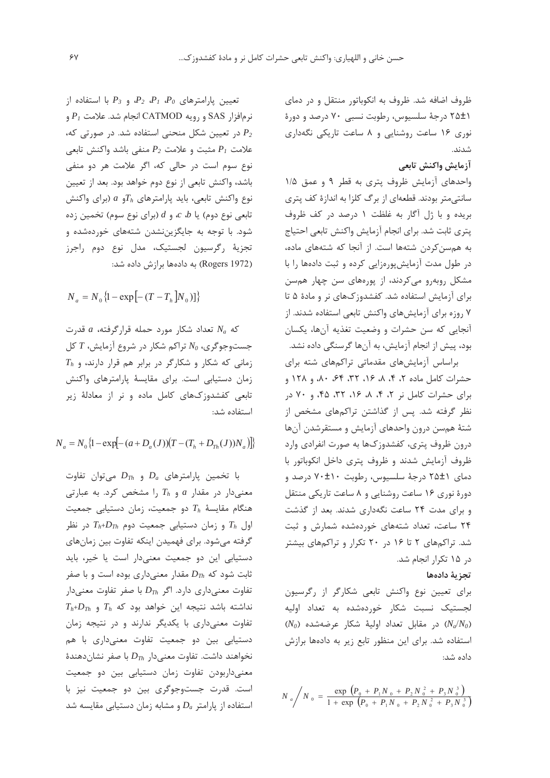ظروف اضافه شد. ظروف به انکوباتور منتقل و در دمای ۲۵±۱ درجهٔ سلسیوس، رطوبت نسبی ۷۰ درصد و دورهٔ نوری ۱۶ ساعت روشنایی و ۸ ساعت تاریکی نگهداری شدند.

# آزمايش واكنش تابعى

واحدهای آزمایش ظروف پتری به قطر ۹ و عمق ۱/۵ سانتی متر بودند. قطعهای از برگ کلزا به اندازهٔ کف پتری بریده و با ژل آگار به غلظت ۱ درصد در کف ظروف يترى ثابت شد. براي انجام آزمايش واكنش تابعي احتياج به همسن کردن شتهها است. از آنجا که شتههای ماده، در طول مدت آزمایش پورهزایی کرده و ثبت دادهها را با مشکل روبهرو می کردند، از پورههای سن چهار همسن برای آزمایش استفاده شد. کفشدوزکهای نر و مادهٔ ۵ تا ۷ روزه برای آزمایش های واکنش تابعی استفاده شدند. از آنجایی که سن حشرات و وضعیت تغذیه آنها، یکسان بود، پیش از انجام آزمایش، به آنها گرسنگی داده نشد.

براساس آزمایشهای مقدماتی تراکمهای شته برای حشرات کامل ماده ۲، ۴، ۸، ۱۶، ۳۲، ۶۴، ۸۰، و ۱۲۸ و برای حشرات کامل نر ۲، ۴، ۸، ۱۶، ۳۲، ۴۵، و ۷۰ در نظر گرفته شد. پس از گذاشتن تراکمهای مشخص از شتهٔ همسن درون واحدهای آزمایش و مستقرشدن آنها درون ظروف پتری، کفشدوزکها به صورت انفرادی وارد ظروف آزمایش شدند و ظروف پتری داخل انکوباتور با دمای ۲۵±۱ درجهٔ سلسیوس، رطوبت ۷۰±۷۰ درصد و دورهٔ نوری ۱۶ ساعت روشنایی و ۸ ساعت تاریکی منتقل و برای مدت ۲۴ ساعت نگهداری شدند. بعد از گذشت ۲۴ ساعت، تعداد شتههای خوردهشده شمارش و ثبت شد. تراکمهای ۲ تا ۱۶ در ۲۰ تکرار و تراکمهای بیشتر در ۱۵ تکرار انجام شد.

### تجزية دادهها

برای تعیین نوع واکنش تابعی شکارگر از رگرسیون لجستیک نسبت شکار خوردهشده به تعداد اولیه  $(N_0)$  در مقابل تعداد اولیهٔ شکار عرضهشده  $(N_a/N_0)$ استفاده شد. برای این منظور تابع زیر به دادهها برازش داده شد:

 $N_a/N_0 = \frac{\exp \left(P_0 + P_1 N_0 + P_2 N_0^2 + P_3 N_0^3\right)}{1 + \exp \left(P_0 + P_1 N_0 + P_2 N_0^2 + P_3 N_0^3\right)}$ 

تعیین پارامترهای  $P_1$   $P_2$   $P_1$  و  $P_2$  با استفاده از  $P_1$  نرمافزار SAS و رویه CATMOD انجام شد. علامت در تعیین شکل منحنی استفاده شد. در صورتی که،  $P_2$ علامت  $P_1$  مثبت و علامت  $P_2$  منفى باشد واكنش تابعى نوع سوم است در حالي كه، اگر علامت هر دو منفي باشد، واكنش تابعي از نوع دوم خواهد بود. بعد از تعيين نوع واکنش تابعی، باید پارامترهای  $T_h$ و  $a$  (برای واکنش تابعی نوع دوم) یا  $c$  و  $d$  (برای نوع سوم) تخمین زده شود. با توجه به جایگزیننشدن شتههای خوردهشده و تجزيهٔ رگرسيون لجستيک، مدل نوع دوم راجرز (Rogers 1972) به دادهها برازش داده شد:

 $N_a = N_0 \{1 - \exp[-(T - T_h]N_0)\}\}$ 

که  $N_a$  تعداد شکار مورد حمله قرارگرفته،  $a$  قدرت جستوجوگری،  $N_0$  تراکم شکار در شروع آزمایش،  $T$  کل  $T_h$  زمانی که شکار و شکارگر در برابر هم قرار دارند، و زمان دستیابی است. برای مقایسهٔ پارامترهای واکنش تابعی کفشدوزکهای کامل ماده و نر از معادلهٔ زیر استفاده شد:

 $N_a = N_0 \{1 - \exp[-(a + D_a(J))(T - (T_h + D_{T_h}(J))N_a)]\}$ 

با تخمین پارامترهای  $D_a$  و  $D_{Th}$  میتوان تفاوت معنیدار در مقدار a و  $T_h$  را مشخص کرد. به عبارتی هنگام مقایسهٔ  $T_h$  دو جمعیت، زمان دستیابی جمعیت اول  $T_h$  و زمان دستیابی جمعیت دوم  $T_{h}$ + $D_{Th}$  در نظر گرفته میشود. برای فهمیدن اینکه تفاوت بین زمانهای دستیابی این دو جمعیت معنیدار است یا خیر، باید ثابت شود که  $D_{Th}$  مقدار معنیداری بوده است و با صفر تفاوت معنی داری دارد. اگر  $D_{Th}$  با صفر تفاوت معنی دار  $T_h$ نداشته باشد نتیجه این خواهد بود که  $T_h$  و تفاوت معنی داری با یکدیگر ندارند و در نتیجه زمان دستیابی بین دو جمعیت تفاوت معنیداری با هم نخواهند داشت. تفاوت معنىدار  $D_{Th}$  با صفر نشاندهندهٔ معنیداربودن تفاوت زمان دستیابی بین دو جمعیت است. قدرت جستوجوگری بین دو جمعیت نیز با استفاده از پارامتر  $D_a$  و مشابه زمان دستیابی مقایسه شد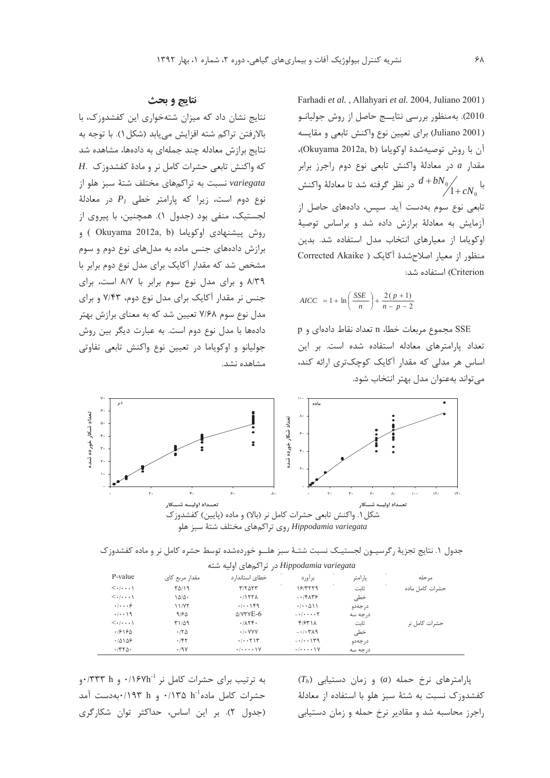Farhadi et al., Allahyari et al. 2004, Juliano 2001) 2010). به منظور بررسی نتایسج حاصل از روش جولیانـو (Juliano 2001) براي تعيين نوع واكنش تابعي و مقايسه آن با روش توصیهشدهٔ اوکویاما (Okuyama 2012a, b)، مقدار a در معادلة واكنش تابعى نوع دوم راجرز برابر در نظر گرفته شد تا معادلهٔ واکنش  $d + b N_{0}\Big/_{\textstyle\!1+C}$ تابعی نوع سوم بهدست آید. سیس، دادههای حاصل از آزمایش به معادلهٔ برازش داده شد و براساس توصیهٔ اوكوياما از معيارهاى انتخاب مدل استفاده شد. بدين منظور از معیار اصلاح شدهٔ آکایک ( Corrected Akaike Criterion) استفاده شد:

$$
AICC = 1 + \ln\left(\frac{SSE}{n}\right) + \frac{2(p+1)}{n-p-2}
$$

SSE مجموع مربعات خطا، n تعداد نقاط دادهای و p تعداد پارامترهای معادله استفاده شده است. بر این اساس هر مدلی که مقدار آکایک کوچکتری ارائه کند، مے تواند بهعنوان مدل بهتر انتخاب شود.

### نتايج و بحث

نتایج نشان داد که میزان شتهخواری این کفشدوزک، با بالارفتن تراكم شته افزايش مي يابد (شكل ١). با توجه به نتایج برازش معادله چند جملهای به دادهها، مشاهده شد H.  $\leq$ که واکنش تابعی حشرات کامل نر و مادهٔ کفشدوزک variegata نسبت به تراكمهاى مختلف شتهٔ سبز هلو از نوع دوم است، زیرا که پارامتر خطی  $P_1$  در معادلهٔ لجستیک، منفی بود (جدول ۱). همچنین، با پیروی از روش پیشنهادی اوکویاما (Okuyama 2012a, b) و برازش دادههای جنس ماده به مدلهای نوع دوم و سوم مشخص شد که مقدار آکایک برای مدل نوع دوم برابر با ۸/۳۹ و برای مدل نوع سوم برابر با ۸/۷ است، برای جنس نر مقدار آکایک برای مدل نوع دوم، ۷/۴۳ و برای مدل نوع سوم ۷/۶۸ تعیین شد که به معنای برازش بهتر دادهها با مدل نوع دوم است. به عبارت دیگر بین روش جولیانو و اوکویاما در تعیین نوع واکنش تابعی تفاوتی مشاهده نشد.



جدول ١. نتايج تجزيهٔ رگرسيـون لجستيـك نسبت شتـهٔ سبز هلــو خوردهشده توسط حشره كامل نر و ماده كفشدوزك  $11 \pm 1.$   $1 \pm 1.$   $11 \pm 1.$ 

| P-value                                     | مقدار مربع کای     | خطای استاندارد                           | براورد                                          | پارامتر  | مر حله          |
|---------------------------------------------|--------------------|------------------------------------------|-------------------------------------------------|----------|-----------------|
| $\langle \cdot   \cdot \cdot \cdot \rangle$ | <b>70/19</b>       | $T/T\Delta\Upsilon\Upsilon$              | 19/7779                                         | ثاىت     | حشرات كامل ماده |
| $\langle \cdot   \cdot \cdot \cdot \rangle$ | $1\Delta/\Delta$ . | .1157A                                   | $-15.15$                                        | خطی      |                 |
| $\cdot$ / $\cdot\cdot\cdot$ $\circ$         | 11/NT              | . / 149                                  | (1.01)                                          | در جەدو  |                 |
| .7.19                                       | 9184               | $\Delta$ / $\forall$ r $\forall$ E-6     | $- \cdot \mid \cdot \cdot \cdot \cdot \uparrow$ | در جه سه |                 |
| $\langle \cdot   \cdot \cdot \cdot \rangle$ | ۳۱/۵۹              | .711                                     | f/5f                                            | ثابت     | حشرات کامل نر   |
| .18180                                      | .780               | $\cdot$ / $\cdot$ YYY                    | $-1.54$                                         | خطی      |                 |
| .70109                                      | .787               | .7.711                                   | $-1111 - 1179$                                  | د, جەدو  |                 |
| $\cdot$ /٣٢ $\Delta$                        | .79V               | $\cdot$ / $\cdot$ $\cdot$ $\cdot$ $\vee$ | $\cdot$ / $\cdot$ $\cdot$ $\cdot$ $\vee$        | در جه سه |                 |

به ترتیب برای حشرات کامل نر ۰/۱۶۷h- و ۰/۳۳۳ و. حشرات كامل ماده<sup>1-</sup>1 ۰/۱۳۵ m/۰ و ۰/۱۹۳ ۰/۱۹۳ موست آمد (جدول ٢). بر اين اساس، حداكثر توان شكاركرى  $(T_h)$  پارامترهای نرخ حمله (a) و زمان دستیابی كفشدوزك نسبت به شتهٔ سبز هلو با استفاده از معادلهٔ راجرز محاسبه شد و مقادیر نرخ حمله و زمان دستیابی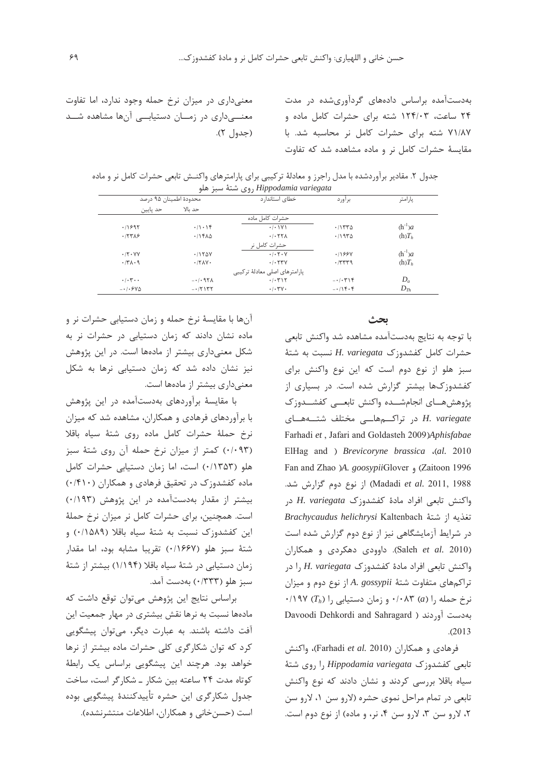معنیداری در میزان نرخ حمله وجود ندارد، اما تفاوت معنـــیداری در زمـــان دستیابـــی آنها مشاهده شـــد (جدول ۲). بهدستآمده براساس دادههای گردآوریشده در مدت ۲۴ ساعت، ۱۲۴/۰۳ شته برای حشرات کامل ماده و ۷۱/۸۷ شته برای حشرات کامل نر محاسبه شد. با مقایسهٔ حشرات کامل نر و ماده مشاهده شد که تفاوت

جدول ۲. مقادیر برآوردشده با مدل راجرز و معادلهٔ ترکیبی برای پارامترهای واکنــش تابعی حشرات کامل نر و ماده روی شتهٔ سبز هلو *Hippodamia variegata* 

| محدودة اطمينان ۹۵ درصد        |                             | خطای استاندار د                | براورد   | پارامتر     |
|-------------------------------|-----------------------------|--------------------------------|----------|-------------|
| حد ياپين                      | حد ىالا                     |                                |          |             |
|                               |                             | حشرات كامل ماده                |          |             |
| .11991                        | $\cdot/\cdot$ \ $\uparrow$  | $\cdot$ / $\cdot$ \ Y \        | .11570   | $(h^{-1})a$ |
| .777A9                        | .715A <sub>0</sub>          | .7.77A                         | .7970    | $(h)T_h$    |
|                               |                             | حشرات كامل نر                  |          |             |
| $\cdot$ /۲ $\cdot$ YV         | .1150V                      | .1.7.7                         | .1199Y   | $(h^{-1})a$ |
| .771.9                        | $\cdot$ /٢ $\Lambda$ $\vee$ | .7.54V                         | .7779    | $(h)T_h$    |
|                               |                             | یارامترهای اصلی معادلهٔ ترکیبی |          |             |
| $\cdot/\cdot$ $\cdot$ $\cdot$ | $-1.95$                     | .7.717                         | $-1.5$   | $D_a$       |
| $-1.540$                      | $-17157$                    | $\cdot$ / $\cdot$ ۳۷ $\cdot$   | $-115.5$ | $D_{Th}$    |

**يحث** با توجه به نتايج بهدستآمده مشاهده شد واكنش تابعي حشرات كامل كفشدوزك H. variegata نسبت به شتهٔ سبز هلو از نوع دوم است که این نوع واکنش برای کفشدوزکها بیشتر گزارش شده است. در بسیاری از پژوهشهـــای انجامشـــده واکنش تابعـــی کفشـــدوزک -33 33- ea- &33I3394- \$ *H. variegate* Farhadi et, Jafari and Goldasteh 2009)Aphisfabae ElHag and ) *Brevicoryne brassica* (al. 2010 Fan and Zhao )A. *goosypii*Glover و Fan and Zhao Madadi *et al*. 2011, 1988) از نوع دوم گزارش شد. واكنش تابعي افراد مادة كفشدوزك *H. variegata* در  $\emph{Brach}$ yc*audus helichrysi* Kaltenbach تغذيه از شتهٔ در شرایط آزمایشگاهی نیز از نوع دوم گزارش شده است (Saleh *et al*. 2010). داوودی دهکردی و همکاران واكنش تابعي افراد مادهٔ كفشدوزك H. variegata را در تراکمهای متفاوت شتهٔ A. gossypii از نوع دوم و میزان  $\cdot$ ۱۹۷ (T<sub>h</sub>) (۰٫۵ ۳ (۰۸۳ و زمان دستیابی را بەدىست آوردند ( Davoodi Dehkordi and Sahragard N.- 2013

فرهادی و همکاران (Farhadi *et al*. 2010)، واکنش تابعی کفشدوزک *Hippodamia variegata ر*ا روی شتهٔ سیاه باقلا بررسی کردند و نشان دادند که نوع واکنش تابعي در تمام مراحل نموي حشره (لارو سن ١، لارو سن ۲، لارو سن ۳، لارو سن ۴، نر، و ماده) از نوع دوم است.

أنها با مقايسهٔ نرخ حمله و زمان دستيابي حشرات نر و ماده نشان دادند که زمان دستیابی در حشرات نر به شکل معنیداری بیشتر از مادهها است. در این پژوهش نیز نشان داده شد که زمان دستیابی نرها به شکل معنىدارى بيشتر از مادهها است.

با مقایسهٔ برآوردهای بهدستآمده در این پژوهش با برآوردهای فرهادی و همکاران، مشاهده شد که میزان نرخ حملهٔ حشرات كامل ماده روى شتهٔ سياه باقلا (۰/۰۹۳) کمتر از میزان نرخ حمله آن روی شتهٔ سبز هلو (۱۳۵۳) است، اما زمان دستیابی حشرات کامل ماده کفشدوزک در تحقیق فرهادی و همکاران (۰/۴۱۰) بیشتر از مقدار بهدستآمده در این پژوهش (۱۹۳۰) است. همچنین، برای حشرات کامل نر میزان نرخ حملهٔ این کفشدوزک نسبت به شتهٔ سیاه باقلا (۰/۱۵۸۹) و شتهٔ سبز هلو (۰/۱۶۶۷) تقریبا مشابه بود، اما مقدار زمان دستیابی در شتهٔ سیاه باقلا (۱/۱۹۴) بیشتر از شتهٔ سبز هلو (۱۳۳۳) بهدست آمد.

براساس نتايج اين پژوهش مىتوان توقع داشت كه مادهها نسبت به نرها نقش بیشتری در مهار جمعیت این آفت داشته باشند. به عبارت دیگر، میتوان پیشگویی کرد که توان شکارگری کلی حشرات ماده بیشتر از نرها خواهد بود. هرچند این پیشگویی براساس یک رابطهٔ کوتاه مدت ۲۴ ساعته بین شکار ـ شکار گر است، ساخت جدول شکارگری این حشره تأییدکنندهٔ پیشگویی بوده <sub>است</sub> (حسنخانی و همکاران، اطلاعات منتشرنشده).